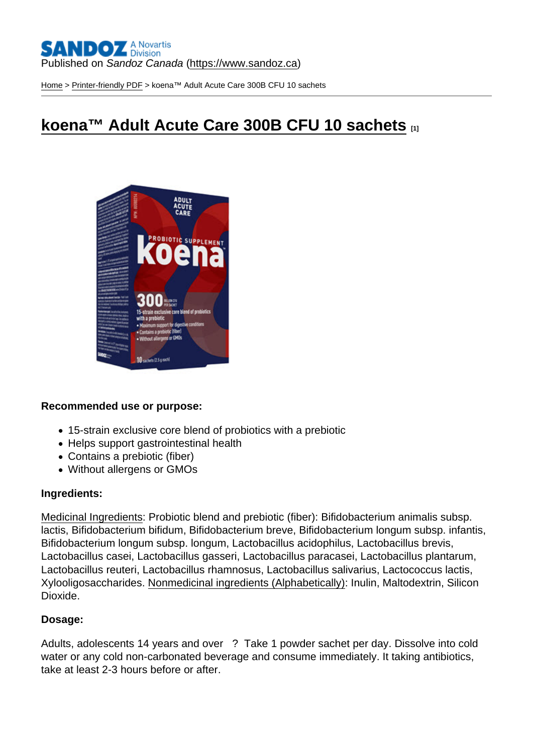#### Published on Sandoz Canada [\(https://www.sandoz.ca](https://www.sandoz.ca))

[Home](https://www.sandoz.ca/en) > [Printer-friendly PDF](https://www.sandoz.ca/en/printpdf) > koena™ Adult Acute Care 300B CFU 10 sachets

# [koena™ Adult Acute Care 300B CFU 10 sachets](https://www.sandoz.ca/en/koena-adult-acute-care-300b-cfu-10-sachets) [1]

Recommended use or purpose:

- 15-strain exclusive core blend of probiotics with a prebiotic
- Helps support gastrointestinal health
- Contains a prebiotic (fiber)
- Without allergens or GMOs

#### Ingredients:

Medicinal Ingredients: Probiotic blend and prebiotic (fiber): Bifidobacterium animalis subsp. lactis, Bifidobacterium bifidum, Bifidobacterium breve, Bifidobacterium longum subsp. infantis, Bifidobacterium longum subsp. longum, Lactobacillus acidophilus, Lactobacillus brevis, Lactobacillus casei, Lactobacillus gasseri, Lactobacillus paracasei, Lactobacillus plantarum, Lactobacillus reuteri, Lactobacillus rhamnosus, Lactobacillus salivarius, Lactococcus lactis, Xylooligosaccharides. Nonmedicinal ingredients (Alphabetically): Inulin, Maltodextrin, Silicon Dioxide.

#### Dosage:

Adults, adolescents 14 years and over ? Take 1 powder sachet per day. Dissolve into cold water or any cold non-carbonated beverage and consume immediately. It taking antibiotics, take at least 2-3 hours before or after.